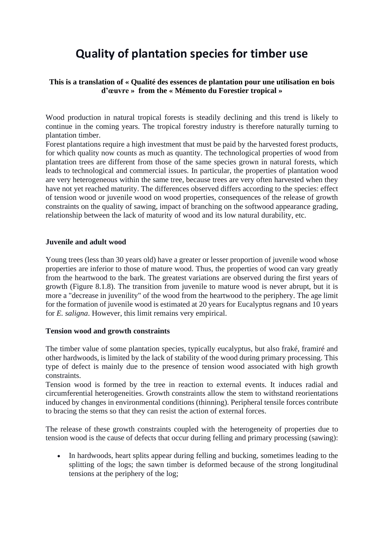# **Quality of plantation species for timber use**

# **This is a translation of « Qualité des essences de plantation pour une utilisation en bois d'œuvre » from the « Mémento du Forestier tropical »**

Wood production in natural tropical forests is steadily declining and this trend is likely to continue in the coming years. The tropical forestry industry is therefore naturally turning to plantation timber.

Forest plantations require a high investment that must be paid by the harvested forest products, for which quality now counts as much as quantity. The technological properties of wood from plantation trees are different from those of the same species grown in natural forests, which leads to technological and commercial issues. In particular, the properties of plantation wood are very heterogeneous within the same tree, because trees are very often harvested when they have not yet reached maturity. The differences observed differs according to the species: effect of tension wood or juvenile wood on wood properties, consequences of the release of growth constraints on the quality of sawing, impact of branching on the softwood appearance grading, relationship between the lack of maturity of wood and its low natural durability, etc.

#### **Juvenile and adult wood**

Young trees (less than 30 years old) have a greater or lesser proportion of juvenile wood whose properties are inferior to those of mature wood. Thus, the properties of wood can vary greatly from the heartwood to the bark. The greatest variations are observed during the first years of growth (Figure 8.1.8). The transition from juvenile to mature wood is never abrupt, but it is more a "decrease in juvenility" of the wood from the heartwood to the periphery. The age limit for the formation of juvenile wood is estimated at 20 years for Eucalyptus regnans and 10 years for *E. saligna*. However, this limit remains very empirical.

#### **Tension wood and growth constraints**

The timber value of some plantation species, typically eucalyptus, but also fraké, framiré and other hardwoods, is limited by the lack of stability of the wood during primary processing. This type of defect is mainly due to the presence of tension wood associated with high growth constraints.

Tension wood is formed by the tree in reaction to external events. It induces radial and circumferential heterogeneities. Growth constraints allow the stem to withstand reorientations induced by changes in environmental conditions (thinning). Peripheral tensile forces contribute to bracing the stems so that they can resist the action of external forces.

The release of these growth constraints coupled with the heterogeneity of properties due to tension wood is the cause of defects that occur during felling and primary processing (sawing):

• In hardwoods, heart splits appear during felling and bucking, sometimes leading to the splitting of the logs; the sawn timber is deformed because of the strong longitudinal tensions at the periphery of the log;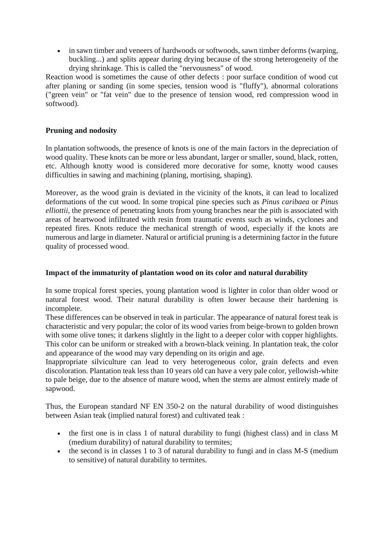• in sawn timber and veneers of hardwoods or softwoods, sawn timber deforms (warping, buckling...) and splits appear during drying because of the strong heterogeneity of the drying shrinkage. This is called the "nervousness" of wood.

Reaction wood is sometimes the cause of other defects : poor surface condition of wood cut after planing or sanding (in some species, tension wood is "fluffy"), abnormal colorations ("green vein" or "fat vein" due to the presence of tension wood, red compression wood in softwood).

# **Pruning and nodosity**

In plantation softwoods, the presence of knots is one of the main factors in the depreciation of wood quality. These knots can be more or less abundant, larger or smaller, sound, black, rotten, etc. Although knotty wood is considered more decorative for some, knotty wood causes difficulties in sawing and machining (planing, mortising, shaping).

Moreover, as the wood grain is deviated in the vicinity of the knots, it can lead to localized deformations of the cut wood. In some tropical pine species such as *Pinus caribaea* or *Pinus elliottii*, the presence of penetrating knots from young branches near the pith is associated with areas of heartwood infiltrated with resin from traumatic events such as winds, cyclones and repeated fires. Knots reduce the mechanical strength of wood, especially if the knots are numerous and large in diameter. Natural or artificial pruning is a determining factor in the future quality of processed wood.

## **Impact of the immaturity of plantation wood on its color and natural durability**

In some tropical forest species, young plantation wood is lighter in color than older wood or natural forest wood. Their natural durability is often lower because their hardening is incomplete.

These differences can be observed in teak in particular. The appearance of natural forest teak is characteristic and very popular; the color of its wood varies from beige-brown to golden brown with some olive tones; it darkens slightly in the light to a deeper color with copper highlights. This color can be uniform or streaked with a brown-black veining. In plantation teak, the color and appearance of the wood may vary depending on its origin and age.

Inappropriate silviculture can lead to very heterogeneous color, grain defects and even discoloration. Plantation teak less than 10 years old can have a very pale color, yellowish-white to pale beige, due to the absence of mature wood, when the stems are almost entirely made of sapwood.

Thus, the European standard NF EN 350-2 on the natural durability of wood distinguishes between Asian teak (implied natural forest) and cultivated teak :

- the first one is in class 1 of natural durability to fungi (highest class) and in class M (medium durability) of natural durability to termites;
- the second is in classes 1 to 3 of natural durability to fungi and in class M-S (medium to sensitive) of natural durability to termites.